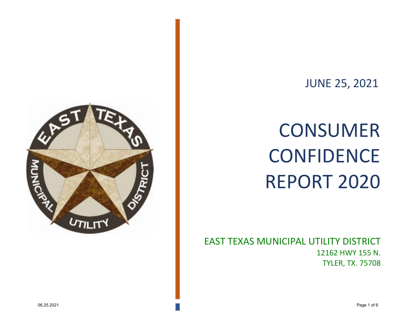

# JUNE 25, 2021

# **CONSUMER** CONFIDENCE REPORT 2020

EAST TEXAS MUNICIPAL UTILITY DISTRICT 12162 HWY 155 N. TYLER, TX. 75708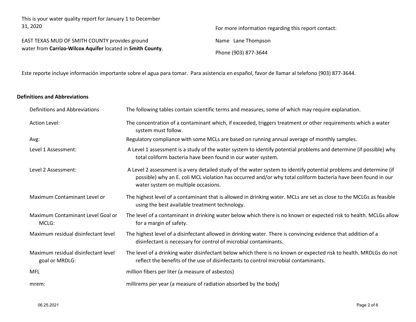This is your water quality report for January 1 to December 31, 2020 For more information regarding this report contact:

EAST TEXAS MUD OF SMITH COUNTY provides ground water from **Carrizo-Wilcox Aquifer** located in **Smith County**. Name Lane Thompson

Phone (903) 877-3644

Este reporte incluye información importante sobre el agua para tomar. Para asistencia en español, favor de llamar al telefono (903) 877-3644.

### **Definitions and Abbreviations**

| Definitions and Abbreviations                         | The following tables contain scientific terms and measures, some of which may require explanation.                                                                                                                                                                         |
|-------------------------------------------------------|----------------------------------------------------------------------------------------------------------------------------------------------------------------------------------------------------------------------------------------------------------------------------|
| Action Level:                                         | The concentration of a contaminant which, if exceeded, triggers treatment or other requirements which a water<br>system must follow.                                                                                                                                       |
| Avg:                                                  | Regulatory compliance with some MCLs are based on running annual average of monthly samples.                                                                                                                                                                               |
| Level 1 Assessment:                                   | A Level 1 assessment is a study of the water system to identify potential problems and determine (if possible) why<br>total coliform bacteria have been found in our water system.                                                                                         |
| Level 2 Assessment:                                   | A Level 2 assessment is a very detailed study of the water system to identify potential problems and determine (if<br>possible) why an E. coli MCL violation has occurred and/or why total coliform bacteria have been found in our<br>water system on multiple occasions. |
| Maximum Contaminant Level or                          | The highest level of a contaminant that is allowed in drinking water. MCLs are set as close to the MCLGs as feasible<br>using the best available treatment technology.                                                                                                     |
| Maximum Contaminant Level Goal or<br>MCLG:            | The level of a contaminant in drinking water below which there is no known or expected risk to health. MCLGs allow<br>for a margin of safety.                                                                                                                              |
| Maximum residual disinfectant level                   | The highest level of a disinfectant allowed in drinking water. There is convincing evidence that addition of a<br>disinfectant is necessary for control of microbial contaminants.                                                                                         |
| Maximum residual disinfectant level<br>goal or MRDLG: | The level of a drinking water disinfectant below which there is no known or expected risk to health. MRDLGs do not<br>reflect the benefits of the use of disinfectants to control microbial contaminants.                                                                  |
| <b>MFL</b>                                            | million fibers per liter (a measure of asbestos)                                                                                                                                                                                                                           |
| mrem:                                                 | millirems per year (a measure of radiation absorbed by the body)                                                                                                                                                                                                           |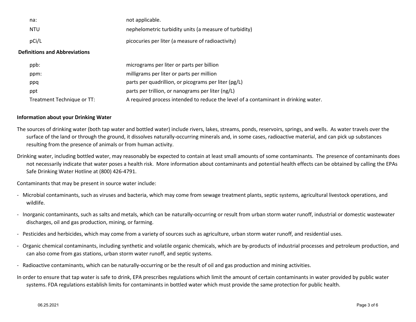| na:   | not applicable.                                        |
|-------|--------------------------------------------------------|
| NTU   | nephelometric turbidity units (a measure of turbidity) |
| pCi/L | picocuries per liter (a measure of radioactivity)      |

#### **Definitions and Abbreviations**

| ppb:                       | micrograms per liter or parts per billion                                           |
|----------------------------|-------------------------------------------------------------------------------------|
| ppm:                       | milligrams per liter or parts per million                                           |
| ppq                        | parts per quadrillion, or picograms per liter (pg/L)                                |
| ppt                        | parts per trillion, or nanograms per liter (ng/L)                                   |
| Treatment Technique or TT: | A required process intended to reduce the level of a contaminant in drinking water. |

#### **Information about your Drinking Water**

- The sources of drinking water (both tap water and bottled water) include rivers, lakes, streams, ponds, reservoirs, springs, and wells. As water travels over the surface of the land or through the ground, it dissolves naturally-occurring minerals and, in some cases, radioactive material, and can pick up substances resulting from the presence of animals or from human activity.
- Drinking water, including bottled water, may reasonably be expected to contain at least small amounts of some contaminants. The presence of contaminants does not necessarily indicate that water poses a health risk. More information about contaminants and potential health effects can be obtained by calling the EPAs Safe Drinking Water Hotline at (800) 426-4791.

Contaminants that may be present in source water include:

- Microbial contaminants, such as viruses and bacteria, which may come from sewage treatment plants, septic systems, agricultural livestock operations, and wildlife.
- Inorganic contaminants, such as salts and metals, which can be naturally-occurring or result from urban storm water runoff, industrial or domestic wastewater discharges, oil and gas production, mining, or farming.
- Pesticides and herbicides, which may come from a variety of sources such as agriculture, urban storm water runoff, and residential uses.
- Organic chemical contaminants, including synthetic and volatile organic chemicals, which are by-products of industrial processes and petroleum production, and can also come from gas stations, urban storm water runoff, and septic systems.
- Radioactive contaminants, which can be naturally-occurring or be the result of oil and gas production and mining activities.
- In order to ensure that tap water is safe to drink, EPA prescribes regulations which limit the amount of certain contaminants in water provided by public water systems. FDA regulations establish limits for contaminants in bottled water which must provide the same protection for public health.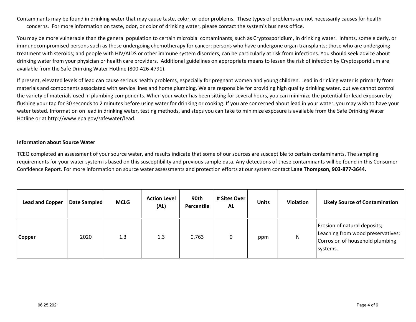Contaminants may be found in drinking water that may cause taste, color, or odor problems. These types of problems are not necessarily causes for health concerns. For more information on taste, odor, or color of drinking water, please contact the system's business office.

You may be more vulnerable than the general population to certain microbial contaminants, such as Cryptosporidium, in drinking water. Infants, some elderly, or immunocompromised persons such as those undergoing chemotherapy for cancer; persons who have undergone organ transplants; those who are undergoing treatment with steroids; and people with HIV/AIDS or other immune system disorders, can be particularly at risk from infections. You should seek advice about drinking water from your physician or health care providers. Additional guidelines on appropriate means to lessen the risk of infection by Cryptosporidium are available from the Safe Drinking Water Hotline (800-426-4791).

If present, elevated levels of lead can cause serious health problems, especially for pregnant women and young children. Lead in drinking water is primarily from materials and components associated with service lines and home plumbing. We are responsible for providing high quality drinking water, but we cannot control the variety of materials used in plumbing components. When your water has been sitting for several hours, you can minimize the potential for lead exposure by flushing your tap for 30 seconds to 2 minutes before using water for drinking or cooking. If you are concerned about lead in your water, you may wish to have your water tested. Information on lead in drinking water, testing methods, and steps you can take to minimize exposure is available from the Safe Drinking Water Hotline or at http://www.epa.gov/safewater/lead.

#### **Information about Source Water**

TCEQ completed an assessment of your source water, and results indicate that some of our sources are susceptible to certain contaminants. The sampling requirements for your water system is based on this susceptibility and previous sample data. Any detections of these contaminants will be found in this Consumer Confidence Report. For more information on source water assessments and protection efforts at our system contact **Lane Thompson, 903-877-3644.**

| <b>Lead and Copper</b> | Date Sampled | <b>MCLG</b> | <b>Action Level</b><br>(AL) | 90th<br>Percentile | # Sites Over<br><b>AL</b> | <b>Units</b> | <b>Violation</b> | <b>Likely Source of Contamination</b>                                                                            |
|------------------------|--------------|-------------|-----------------------------|--------------------|---------------------------|--------------|------------------|------------------------------------------------------------------------------------------------------------------|
| Copper                 | 2020         | 1.3         | 1.3                         | 0.763              |                           | ppm          | N                | Erosion of natural deposits;<br>Leaching from wood preservatives;<br>Corrosion of household plumbing<br>systems. |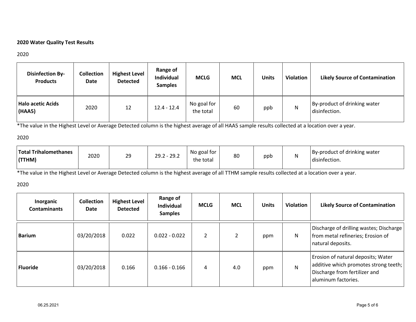# **2020 Water Quality Test Results**

#### 2020

| <b>Disinfection By-</b><br><b>Products</b> | <b>Collection</b><br>Date | <b>Highest Level</b><br><b>Detected</b> | Range of<br><b>Individual</b><br><b>Samples</b> | <b>MCLG</b>              | <b>MCL</b> | Units | Violation | <b>Likely Source of Contamination</b>         |
|--------------------------------------------|---------------------------|-----------------------------------------|-------------------------------------------------|--------------------------|------------|-------|-----------|-----------------------------------------------|
| <b>Halo acetic Acids</b><br>(HAA5)         | 2020                      | 12                                      | $12.4 - 12.4$                                   | No goal for<br>the total | 60         | ppb   | N         | By-product of drinking water<br>disinfection. |

\*The value in the Highest Level or Average Detected column is the highest average of all HAA5 sample results collected at a location over a year.

#### 2020

\*The value in the Highest Level or Average Detected column is the highest average of all TTHM sample results collected at a location over a year.

## 2020

| Inorganic<br><b>Contaminants</b> | <b>Collection</b><br>Date | <b>Highest Level</b><br><b>Detected</b> | Range of<br><b>Individual</b><br><b>Samples</b> | <b>MCLG</b> | <b>MCL</b> | <b>Units</b> | <b>Violation</b> | <b>Likely Source of Contamination</b>                                                                                               |
|----------------------------------|---------------------------|-----------------------------------------|-------------------------------------------------|-------------|------------|--------------|------------------|-------------------------------------------------------------------------------------------------------------------------------------|
| <b>Barium</b>                    | 03/20/2018                | 0.022                                   | $0.022 - 0.022$                                 | 2           |            | ppm          | N                | Discharge of drilling wastes; Discharge  <br>from metal refineries; Erosion of<br>natural deposits.                                 |
| <b>Fluoride</b>                  | 03/20/2018                | 0.166                                   | $0.166 - 0.166$                                 | 4           | 4.0        | ppm          | N                | Erosion of natural deposits; Water<br>additive which promotes strong teeth;<br>Discharge from fertilizer and<br>aluminum factories. |